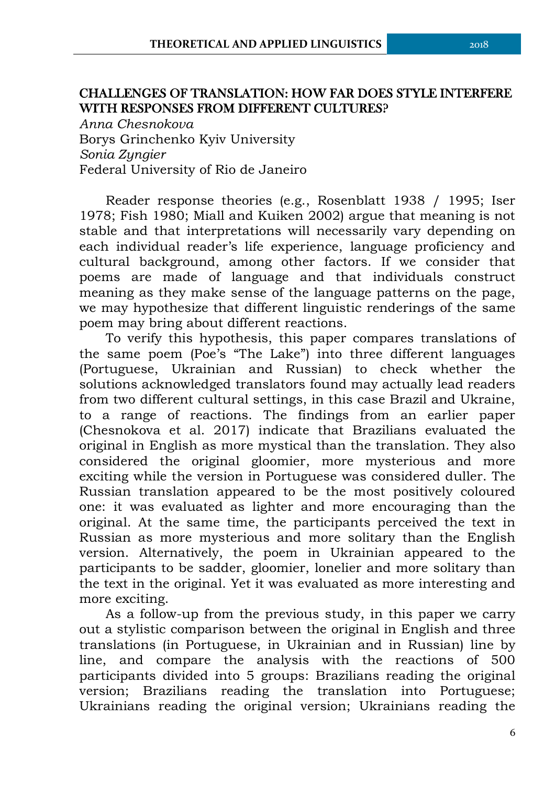## **CHALLENGES OF TRANSLATION: HOW FAR DOES STYLE INTERFERE WITH RESPONSES FROM DIFFERENT CULTURES?**

*Anna Chesnokova* Borys Grinchenko Kyiv University *Sonia Zyngier* Federal University of Rio de Janeiro

Reader response theories (e.g., Rosenblatt 1938 / 1995; Iser 1978; Fish 1980; Miall and Kuiken 2002) argue that meaning is not stable and that interpretations will necessarily vary depending on each individual reader's life experience, language proficiency and cultural background, among other factors. If we consider that poems are made of language and that individuals construct meaning as they make sense of the language patterns on the page, we may hypothesize that different linguistic renderings of the same poem may bring about different reactions.

To verify this hypothesis, this paper compares translations of the same poem (Poe's "The Lake") into three different languages (Portuguese, Ukrainian and Russian) to check whether the solutions acknowledged translators found may actually lead readers from two different cultural settings, in this case Brazil and Ukraine, to a range of reactions. The findings from an earlier paper (Chesnokova et al. 2017) indicate that Brazilians evaluated the original in English as more mystical than the translation. They also considered the original gloomier, more mysterious and more exciting while the version in Portuguese was considered duller. The Russian translation appeared to be the most positively coloured one: it was evaluated as lighter and more encouraging than the original. At the same time, the participants perceived the text in Russian as more mysterious and more solitary than the English version. Alternatively, the poem in Ukrainian appeared to the participants to be sadder, gloomier, lonelier and more solitary than the text in the original. Yet it was evaluated as more interesting and more exciting.

As a follow-up from the previous study, in this paper we carry out a stylistic comparison between the original in English and three translations (in Portuguese, in Ukrainian and in Russian) line by line, and compare the analysis with the reactions of 500 participants divided into 5 groups: Brazilians reading the original version; Brazilians reading the translation into Portuguese; Ukrainians reading the original version; Ukrainians reading the